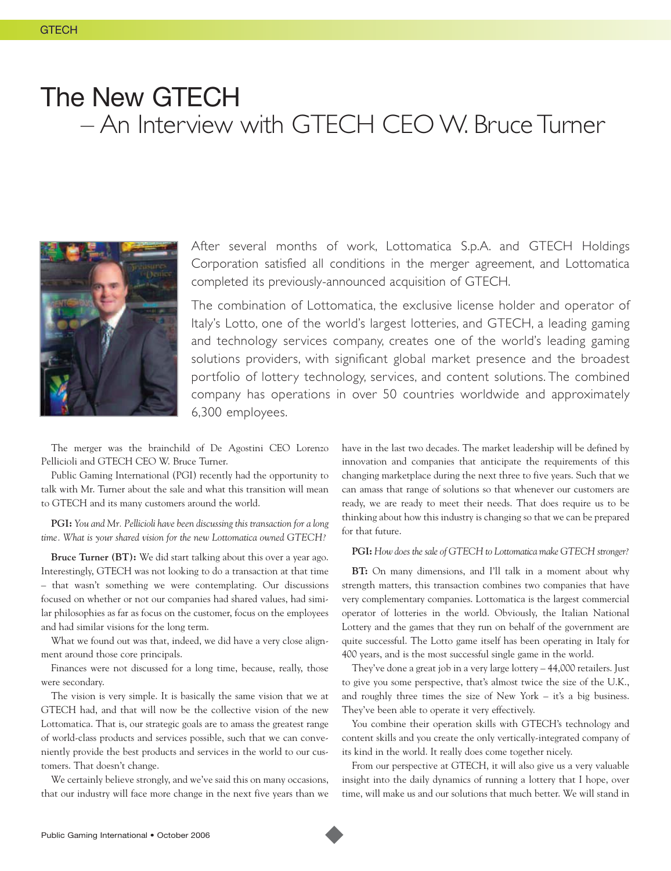## The New GTECH – An Interview with GTECH CEO W. Bruce Turner



After several months of work, Lottomatica S.p.A. and GTECH Holdings Corporation satisfied all conditions in the merger agreement, and Lottomatica completed its previously-announced acquisition of GTECH.

The combination of Lottomatica, the exclusive license holder and operator of Italy's Lotto, one of the world's largest lotteries, and GTECH, a leading gaming and technology services company, creates one of the world's leading gaming solutions providers, with significant global market presence and the broadest portfolio of lottery technology, services, and content solutions. The combined company has operations in over 50 countries worldwide and approximately 6,300 employees.

The merger was the brainchild of De Agostini CEO Lorenzo Pellicioli and GTECH CEO W. Bruce Turner.

Public Gaming International (PGI) recently had the opportunity to talk with Mr. Turner about the sale and what this transition will mean to GTECH and its many customers around the world.

**PGI:** *You and Mr. Pellicioli have been discussing this transaction for a long time. What is your shared vision for the new Lottomatica owned GTECH?*

**Bruce Turner (BT):** We did start talking about this over a year ago. Interestingly, GTECH was not looking to do a transaction at that time – that wasn't something we were contemplating. Our discussions focused on whether or not our companies had shared values, had similar philosophies as far as focus on the customer, focus on the employees and had similar visions for the long term.

What we found out was that, indeed, we did have a very close alignment around those core principals.

Finances were not discussed for a long time, because, really, those were secondary.

The vision is very simple. It is basically the same vision that we at GTECH had, and that will now be the collective vision of the new Lottomatica. That is, our strategic goals are to amass the greatest range of world-class products and services possible, such that we can conveniently provide the best products and services in the world to our customers. That doesn't change.

We certainly believe strongly, and we've said this on many occasions, that our industry will face more change in the next five years than we have in the last two decades. The market leadership will be defined by innovation and companies that anticipate the requirements of this changing marketplace during the next three to five years. Such that we can amass that range of solutions so that whenever our customers are ready, we are ready to meet their needs. That does require us to be thinking about how this industry is changing so that we can be prepared for that future.

## **PGI:** *How does the sale of GTECH to Lottomatica make GTECH stronger?*

**BT:** On many dimensions, and I'll talk in a moment about why strength matters, this transaction combines two companies that have very complementary companies. Lottomatica is the largest commercial operator of lotteries in the world. Obviously, the Italian National Lottery and the games that they run on behalf of the government are quite successful. The Lotto game itself has been operating in Italy for 400 years, and is the most successful single game in the world.

They've done a great job in a very large lottery – 44,000 retailers. Just to give you some perspective, that's almost twice the size of the U.K., and roughly three times the size of New York – it's a big business. They've been able to operate it very effectively.

You combine their operation skills with GTECH's technology and content skills and you create the only vertically-integrated company of its kind in the world. It really does come together nicely.

From our perspective at GTECH, it will also give us a very valuable insight into the daily dynamics of running a lottery that I hope, over time, will make us and our solutions that much better. We will stand in